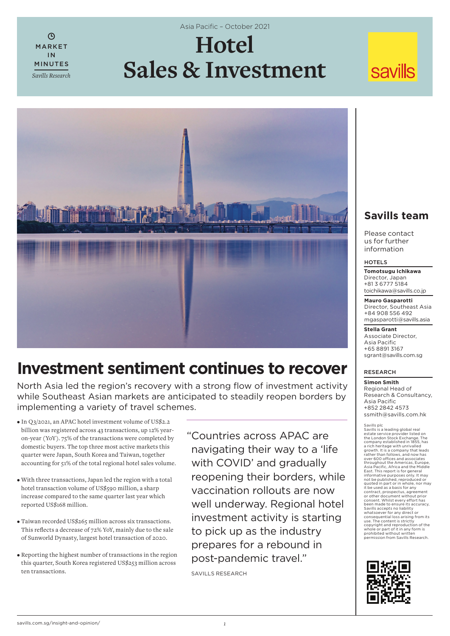$\bigcirc$ MARKET IN MINUTES *Savills Research* Asia Pacific - October 2021

# **Hotel Sales & Investment**

## **savills**



### **Investment sentiment continues to recover**

North Asia led the region's recovery with a strong flow of investment activity while Southeast Asian markets are anticipated to steadily reopen borders by implementing a variety of travel schemes.

- In Q3/2021, an APAC hotel investment volume of US\$2.2 billion was registered across 43 transactions, up 12% yearon-year (YoY). 75% of the transactions were completed by domestic buyers. The top three most active markets this quarter were Japan, South Korea and Taiwan, together accounting for 51% of the total regional hotel sales volume.
- With three transactions, Japan led the region with a total hotel transaction volume of US\$590 million, a sharp increase compared to the same quarter last year which reported US\$168 million.
- Taiwan recorded US\$265 million across six transactions. This reflects a decrease of 72% YoY, mainly due to the sale of Sunworld Dynasty, largest hotel transaction of 2020.
- Reporting the highest number of transactions in the region this quarter, South Korea registered US\$253 million across ten transactions.

" Countries across APAC are navigating their way to a 'life with COVID' and gradually reopening their borders, while vaccination rollouts are now well underway. Regional hotel investment activity is starting to pick up as the industry prepares for a rebound in post-pandemic travel."

SAVILLS RESEARCH

### **Savills team**

Please contact us for further information

#### **HOTELS**

**Tomotsugu Ichikawa** Director, Japan +81 3 6777 5184 toichikawa@savills.co.jp

#### **Mauro Gasparotti**

Director, Southeast Asia +84 908 556 492 mgasparotti@savills.asia

**Stella Grant** Associate Director, Asia Pacific +65 8891 3167 sgrant@savills.com.sg

### RESEARCH

**Simon Smith** Regional Head of Research & Consultancy, Asia Pacific +852 2842 4573 ssmith@savills.com.hk

Savills plc<br>Savills is a leading global real<br>estate service provider listed on<br>the London Stock Exchange. The<br>company established in 1855, has<br>a rich heritage with unrivalled growth. It is a company that leads rather than follows, and now has over 600 offi ces and associates throughout the Americas, Europe,<br>Asia Pacific, Africa and the Middle<br>East. This report is for general informative purposes only. It may<br>not be published, reproduced or<br>to the published, reproduced or<br>the used as a basis for any<br>contract, prospectus, agreement<br>or other document without prior<br>consent. Whilst every effort has

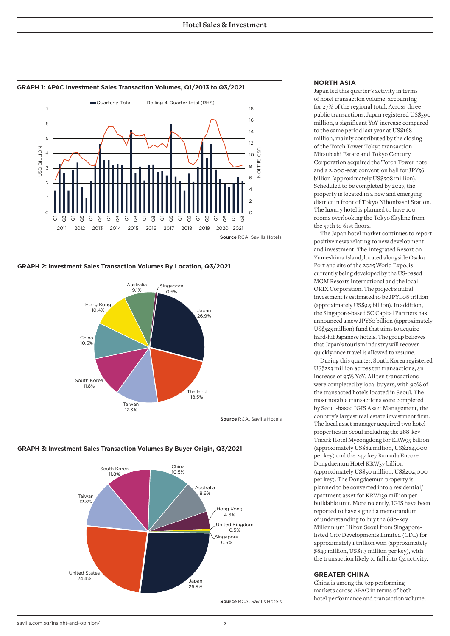

#### **GRAPH 1: APAC Investment Sales Transaction Volumes, Q1/2013 to Q3/2021**









#### **NORTH ASIA**

Japan led this quarter's activity in terms of hotel transaction volume, accounting for 27% of the regional total. Across three public transactions, Japan registered US\$590 million, a significant YoY increase compared to the same period last year at US\$168 million, mainly contributed by the closing of the Torch Tower Tokyo transaction. Mitsubishi Estate and Tokyo Century Corporation acquired the Torch Tower hotel and a 2,000-seat convention hall for JPY56 billion (approximately US\$508 million). Scheduled to be completed by 2027, the property is located in a new and emerging district in front of Tokyo Nihonbashi Station. The luxury hotel is planned to have 100 rooms overlooking the Tokyo Skyline from the 57th to 61st floors.

The Japan hotel market continues to report positive news relating to new development and investment. The Integrated Resort on Yumeshima Island, located alongside Osaka Port and site of the 2025 World Expo, is currently being developed by the US-based MGM Resorts International and the local ORIX Corporation. The project's initial investment is estimated to be JPY1.08 trillion (approximately US\$9.5 billion). In addition, the Singapore-based SC Capital Partners has announced a new JPY60 billion (approximately US\$525 million) fund that aims to acquire hard-hit Japanese hotels. The group believes that Japan's tourism industry will recover quickly once travel is allowed to resume.

During this quarter, South Korea registered US\$253 million across ten transactions, an increase of 95% YoY. All ten transactions were completed by local buyers, with 90% of the transacted hotels located in Seoul. The most notable transactions were completed by Seoul-based IGIS Asset Management, the country's largest real estate investment firm. The local asset manager acquired two hotel properties in Seoul including the 288-key Tmark Hotel Myeongdong for KRW95 billion (approximately US\$82 million, US\$284,000 per key) and the 247-key Ramada Encore Dongdaemun Hotel KRW57 billion (approximately US\$50 million, US\$202,000 per key). The Dongdaemun property is planned to be converted into a residential/ apartment asset for KRW139 million per buildable unit. More recently, IGIS have been reported to have signed a memorandum of understanding to buy the 680-key Millennium Hilton Seoul from Singaporelisted City Developments Limited (CDL) for approximately 1 trillion won (approximately \$849 million, US\$1.3 million per key), with the transaction likely to fall into Q4 activity.

#### **GREATER CHINA**

China is among the top performing markets across APAC in terms of both hotel performance and transaction volume.